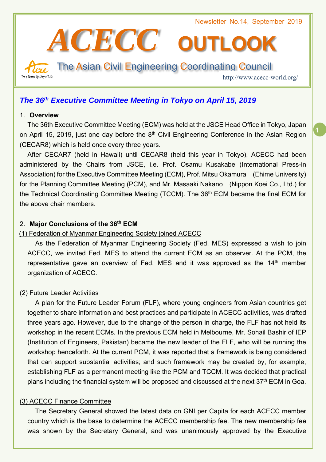

## *The 36th Executive Committee Meeting in Tokyo on April 15, 2019*

#### 1. **Overview**

The 36th Executive Committee Meeting (ECM) was held at the JSCE Head Office in Tokyo, Japan on April 15, 2019, just one day before the 8<sup>th</sup> Civil Engineering Conference in the Asian Region (CECAR8) which is held once every three years.

After CECAR7 (held in Hawaii) until CECAR8 (held this year in Tokyo), ACECC had been administered by the Chairs from JSCE, i.e. Prof. Osamu Kusakabe (International Press-in Association) for the Executive Committee Meeting (ECM), Prof. Mitsu Okamura (Ehime University) for the Planning Committee Meeting (PCM), and Mr. Masaaki Nakano (Nippon Koei Co., Ltd.) for the Technical Coordinating Committee Meeting (TCCM). The 36<sup>th</sup> ECM became the final ECM for the above chair members.

## 2. **Major Conclusions of the 36th ECM**

## (1) Federation of Myanmar Engineering Society joined ACECC

As the Federation of Myanmar Engineering Society (Fed. MES) expressed a wish to join ACECC, we invited Fed. MES to attend the current ECM as an observer. At the PCM, the representative gave an overview of Fed. MES and it was approved as the  $14<sup>th</sup>$  member organization of ACECC.

## (2) Future Leader Activities

A plan for the Future Leader Forum (FLF), where young engineers from Asian countries get together to share information and best practices and participate in ACECC activities, was drafted three years ago. However, due to the change of the person in charge, the FLF has not held its workshop in the recent ECMs. In the previous ECM held in Melbourne, Mr. Sohail Bashir of IEP (Institution of Engineers, Pakistan) became the new leader of the FLF, who will be running the workshop henceforth. At the current PCM, it was reported that a framework is being considered that can support substantial activities; and such framework may be created by, for example, establishing FLF as a permanent meeting like the PCM and TCCM. It was decided that practical plans including the financial system will be proposed and discussed at the next  $37<sup>th</sup>$  ECM in Goa.

## (3) ACECC Finance Committee

The Secretary General showed the latest data on GNI per Capita for each ACECC member country which is the base to determine the ACECC membership fee. The new membership fee was shown by the Secretary General, and was unanimously approved by the Executive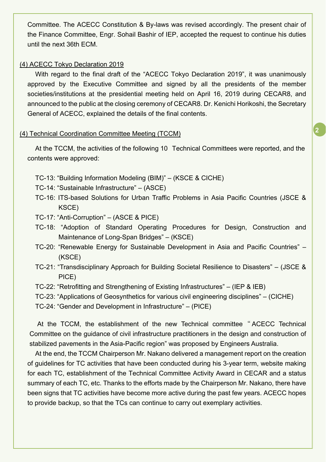Committee. The ACECC Constitution & By-laws was revised accordingly. The present chair of the Finance Committee, Engr. Sohail Bashir of IEP, accepted the request to continue his duties until the next 36th ECM.

#### (4) ACECC Tokyo Declaration 2019

With regard to the final draft of the "ACECC Tokyo Declaration 2019", it was unanimously approved by the Executive Committee and signed by all the presidents of the member societies/institutions at the presidential meeting held on April 16, 2019 during CECAR8, and announced to the public at the closing ceremony of CECAR8. Dr. Kenichi Horikoshi, the Secretary General of ACECC, explained the details of the final contents.

#### (4) Technical Coordination Committee Meeting (TCCM)

At the TCCM, the activities of the following 10 Technical Committees were reported, and the contents were approved:

- TC-13: "Building Information Modeling (BIM)" (KSCE & CICHE)
- TC-14: "Sustainable Infrastructure" (ASCE)
- TC-16: ITS-based Solutions for Urban Traffic Problems in Asia Pacific Countries (JSCE & KSCE)
- TC-17: "Anti-Corruption" (ASCE & PICE)
- TC-18: "Adoption of Standard Operating Procedures for Design, Construction and Maintenance of Long-Span Bridges" – (KSCE)
- TC-20: "Renewable Energy for Sustainable Development in Asia and Pacific Countries" (KSCE)
- TC-21: "Transdisciplinary Approach for Building Societal Resilience to Disasters" (JSCE & PICE)
- TC-22: "Retrofitting and Strengthening of Existing Infrastructures" (IEP & IEB)
- TC-23: "Applications of Geosynthetics for various civil engineering disciplines" (CICHE)

TC-24: "Gender and Development in Infrastructure" – (PICE)

At the TCCM, the establishment of the new Technical committee " ACECC Technical Committee on the guidance of civil infrastructure practitioners in the design and construction of stabilized pavements in the Asia-Pacific region" was proposed by Engineers Australia.

At the end, the TCCM Chairperson Mr. Nakano delivered a management report on the creation of guidelines for TC activities that have been conducted during his 3-year term, website making for each TC, establishment of the Technical Committee Activity Award in CECAR and a status summary of each TC, etc. Thanks to the efforts made by the Chairperson Mr. Nakano, there have been signs that TC activities have become more active during the past few years. ACECC hopes to provide backup, so that the TCs can continue to carry out exemplary activities.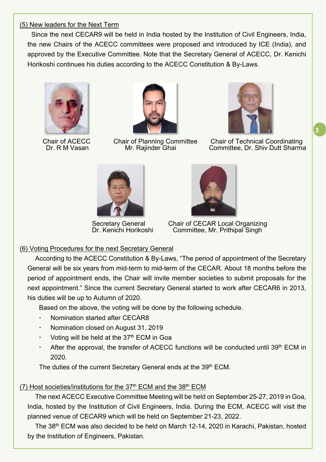## (5) New leaders for the Next Term

Since the next CECAR9 will be held in India hosted by the Institution of Civil Engineers, India, the new Chairs of the ACECC committees were proposed and introduced by ICE (India), and approved by the Executive Committee. Note that the Secretary General of ACECC, Dr. Kenichi Horikoshi continues his duties according to the ACECC Constitution & By-Laws.







Chair of ACECC Chair of Planning Committee Chair of Technical Coordinating<br>Dr. R M Vasan Mr. Rajinder Ghai Committee, Dr. Shiv Dutt Sharma Committee, Dr. Shiv Dutt Sharma

**3**





 Secretary General Chair of CECAR Local Organizing Dr. Kenichi Horikoshi Committee, Mr. Prithipal Singh

## (6) Voting Procedures for the next Secretary General

According to the ACECC Constitution & By-Laws, "The period of appointment of the Secretary General will be six years from mid-term to mid-term of the CECAR. About 18 months before the period of appointment ends, the Chair will invite member societies to submit proposals for the next appointment." Since the current Secretary General started to work after CECAR6 in 2013, his duties will be up to Autumn of 2020.

Based on the above, the voting will be done by the following schedule.

- Nomination started after CECAR8
- Nomination closed on August 31, 2019
- Voting will be held at the  $37<sup>th</sup>$  ECM in Goa
- After the approval, the transfer of ACECC functions will be conducted until 39<sup>th</sup> ECM in 2020.

The duties of the current Secretary General ends at the 39<sup>th</sup> ECM.

## (7) Host societies/institutions for the  $37<sup>th</sup>$  ECM and the  $38<sup>th</sup>$  ECM

The next ACECC Executive Committee Meeting will be held on September 25-27, 2019 in Goa, India, hosted by the Institution of Civil Engineers, India. During the ECM, ACECC will visit the planned venue of CECAR9 which will be held on September 21-23, 2022.

The 38<sup>th</sup> ECM was also decided to be held on March 12-14, 2020 in Karachi, Pakistan, hosted by the Institution of Engineers, Pakistan.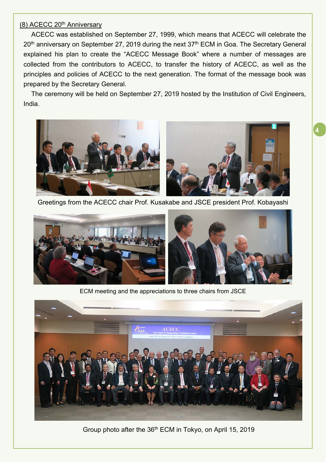## (8) ACECC 20<sup>th</sup> Anniversary

ACECC was established on September 27, 1999, which means that ACECC will celebrate the 20<sup>th</sup> anniversary on September 27, 2019 during the next 37<sup>th</sup> ECM in Goa. The Secretary General explained his plan to create the "ACECC Message Book" where a number of messages are collected from the contributors to ACECC, to transfer the history of ACECC, as well as the principles and policies of ACECC to the next generation. The format of the message book was prepared by the Secretary General.

The ceremony will be held on September 27, 2019 hosted by the Institution of Civil Engineers, India.



Greetings from the ACECC chair Prof. Kusakabe and JSCE president Prof. Kobayashi



ECM meeting and the appreciations to three chairs from JSCE



Group photo after the 36<sup>th</sup> ECM in Tokyo, on April 15, 2019